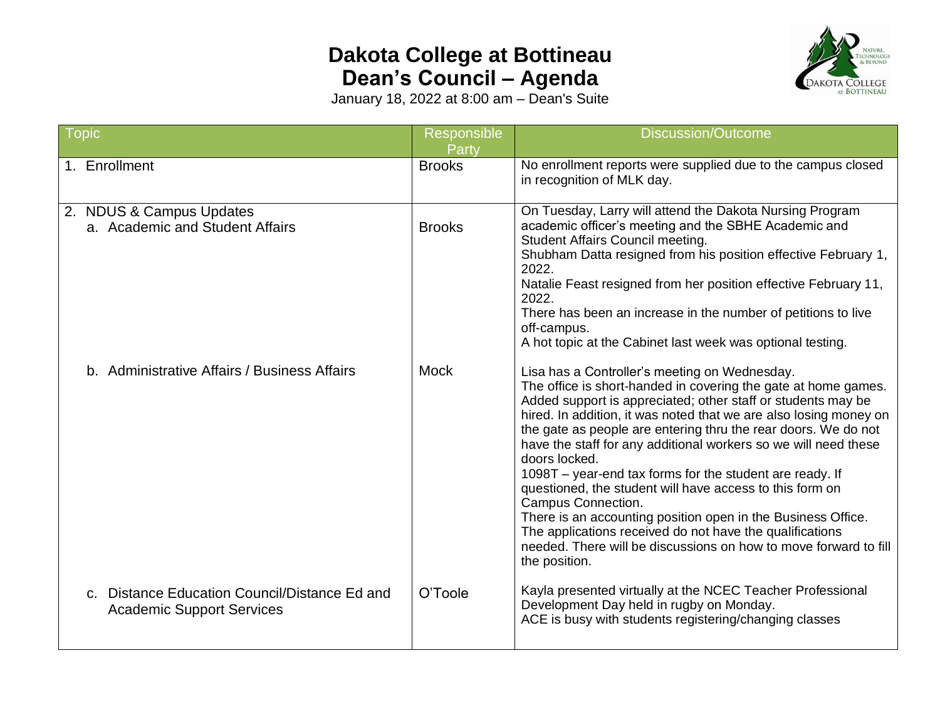## **Dakota College at Bottineau Dean's Council – Agenda**



January 18, 2022 at 8:00 am – Dean's Suite

| <b>Topic</b>                                                                      | <b>Responsible</b><br>Party | <b>Discussion/Outcome</b>                                                                                                                                                                                                                                                                                                                                                                                                                                                                                                                                                                                                                                                                                                                                                 |
|-----------------------------------------------------------------------------------|-----------------------------|---------------------------------------------------------------------------------------------------------------------------------------------------------------------------------------------------------------------------------------------------------------------------------------------------------------------------------------------------------------------------------------------------------------------------------------------------------------------------------------------------------------------------------------------------------------------------------------------------------------------------------------------------------------------------------------------------------------------------------------------------------------------------|
| 1. Enrollment                                                                     | <b>Brooks</b>               | No enrollment reports were supplied due to the campus closed<br>in recognition of MLK day.                                                                                                                                                                                                                                                                                                                                                                                                                                                                                                                                                                                                                                                                                |
| 2. NDUS & Campus Updates<br>a. Academic and Student Affairs                       | <b>Brooks</b>               | On Tuesday, Larry will attend the Dakota Nursing Program<br>academic officer's meeting and the SBHE Academic and<br><b>Student Affairs Council meeting.</b><br>Shubham Datta resigned from his position effective February 1,<br>2022.<br>Natalie Feast resigned from her position effective February 11,<br>2022.<br>There has been an increase in the number of petitions to live<br>off-campus.<br>A hot topic at the Cabinet last week was optional testing.                                                                                                                                                                                                                                                                                                          |
| b. Administrative Affairs / Business Affairs                                      | <b>Mock</b>                 | Lisa has a Controller's meeting on Wednesday.<br>The office is short-handed in covering the gate at home games.<br>Added support is appreciated; other staff or students may be<br>hired. In addition, it was noted that we are also losing money on<br>the gate as people are entering thru the rear doors. We do not<br>have the staff for any additional workers so we will need these<br>doors locked.<br>1098T - year-end tax forms for the student are ready. If<br>questioned, the student will have access to this form on<br>Campus Connection.<br>There is an accounting position open in the Business Office.<br>The applications received do not have the qualifications<br>needed. There will be discussions on how to move forward to fill<br>the position. |
| c. Distance Education Council/Distance Ed and<br><b>Academic Support Services</b> | O'Toole                     | Kayla presented virtually at the NCEC Teacher Professional<br>Development Day held in rugby on Monday.<br>ACE is busy with students registering/changing classes                                                                                                                                                                                                                                                                                                                                                                                                                                                                                                                                                                                                          |